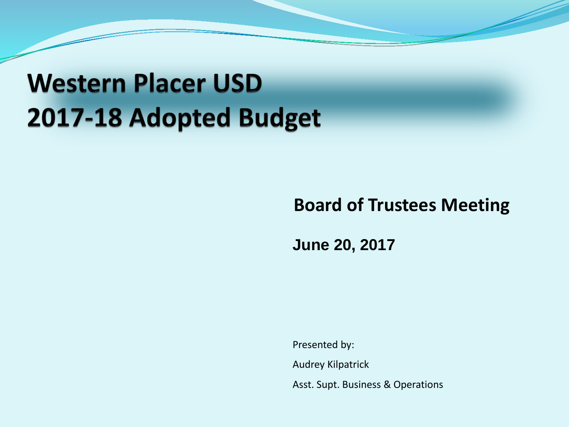## **Western Placer USD** 2017-18 Adopted Budget

### **Board of Trustees Meeting**

**June 20, 2017**

Presented by: Audrey Kilpatrick Asst. Supt. Business & Operations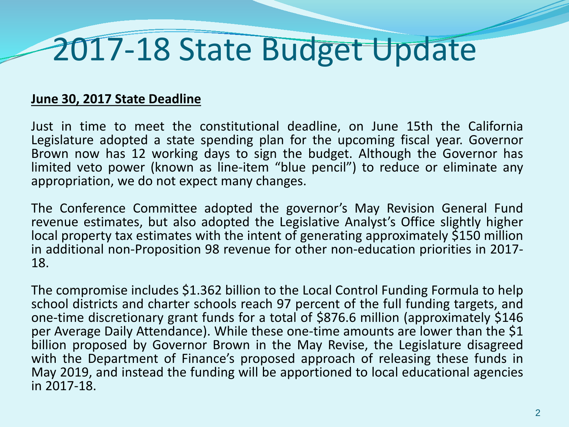# 2017-18 State Budget Update

#### **June 30, 2017 State Deadline**

Just in time to meet the constitutional deadline, on June 15th the California Legislature adopted a state spending plan for the upcoming fiscal year. Governor Brown now has 12 working days to sign the budget. Although the Governor has limited veto power (known as line-item "blue pencil") to reduce or eliminate any appropriation, we do not expect many changes.

The Conference Committee adopted the governor's May Revision General Fund revenue estimates, but also adopted the Legislative Analyst's Office slightly higher local property tax estimates with the intent of generating approximately \$150 million in additional non-Proposition <sup>98</sup> revenue for other non-education priorities in 2017- 18.

The compromise includes \$1.362 billion to the Local Control Funding Formula to help school districts and charter schools reach 97 percent of the full funding targets, and one-time discretionary grant funds for a total of \$876.6 million (approximately \$146 per Average Daily Attendance). While these one-time amounts are lower than the \$1 billion proposed by Governor Brown in the May Revise, the Legislature disagreed with the Department of Finance's proposed approach of releasing these funds in May 2019, and instead the funding will be apportioned to local educational agencies in 2017-18.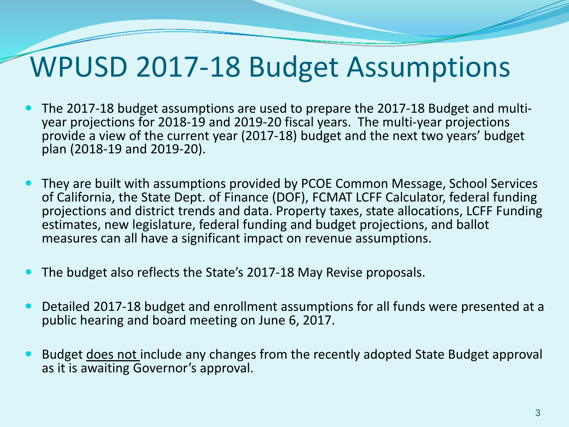## WPUSD 2017-18 Budget Assumptions

- The 2017-18 budget assumptions are used to prepare the 2017-18 Budget and multi- year projections for 2018-19 and 2019-20 fiscal years. The multi-year projections provide a view of the current year (2017-18) budget and the next two years' budget plan (2018-19 and 2019-20).
- They are built with assumptions provided by PCOE Common Message, School Services of California, the State Dept. of Finance (DOF), FCMAT LCFF Calculator, federal funding projections and district trends and data. Property taxes, state allocations, LCFF Funding estimates, new legislature, federal funding and budget projections, and ballot measures can all have a significant impact on revenue assumptions.
- The budget also reflects the State's 2017-18 May Revise proposals.
- Detailed 2017-18 budget and enrollment assumptions for all funds were presented at a public hearing and board meeting on June 6, 2017.
- Budget does not include any changes from the recently adopted State Budget approval as it is awaiting Governor's approval.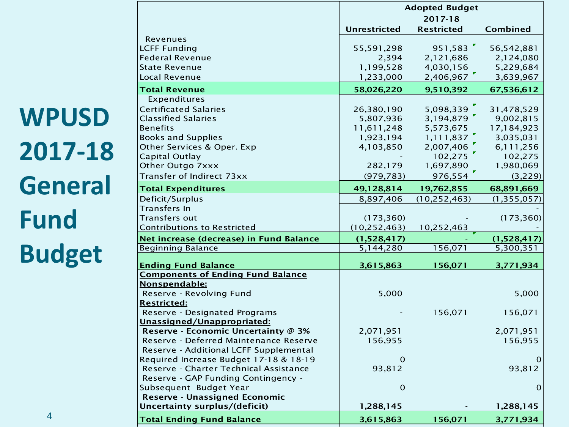**WPUSD 2017-18 General Fund Budget**

|                                                                       | <b>Adopted Budget</b> |                   |               |  |  |
|-----------------------------------------------------------------------|-----------------------|-------------------|---------------|--|--|
|                                                                       |                       | 2017-18           |               |  |  |
|                                                                       | <b>Unrestricted</b>   | <b>Restricted</b> | Combined      |  |  |
| Revenues                                                              |                       |                   |               |  |  |
| <b>LCFF Funding</b>                                                   | 55,591,298            | 951,583           | 56, 542, 881  |  |  |
| <b>Federal Revenue</b>                                                | 2,394                 | 2,121,686         | 2,124,080     |  |  |
| <b>State Revenue</b>                                                  | 1,199,528             | 4,030,156         | 5,229,684     |  |  |
| Local Revenue                                                         | 1,233,000             | 2,406,967         | 3,639,967     |  |  |
| <b>Total Revenue</b>                                                  | 58,026,220            | 9,510,392         | 67,536,612    |  |  |
| Expenditures                                                          |                       |                   |               |  |  |
| <b>Certificated Salaries</b>                                          | 26,380,190            | 5,098,339         | 31,478,529    |  |  |
| <b>Classified Salaries</b>                                            | 5,807,936             | 3,194,879         | 9,002,815     |  |  |
| <b>Benefits</b>                                                       | 11,611,248            | 5,573,675         | 17,184,923    |  |  |
| <b>Books and Supplies</b>                                             | 1,923,194             | 1,111,837         | 3,035,031     |  |  |
| Other Services & Oper. Exp                                            | 4,103,850             | 2,007,406         | 6,111,256     |  |  |
| <b>Capital Outlay</b>                                                 |                       | 102,275           | 102,275       |  |  |
| Other Outgo 7xxx                                                      | 282,179               | 1,697,890         | 1,980,069     |  |  |
| Transfer of Indirect 73xx                                             | (979, 783)            | 976,554           | (3,229)       |  |  |
| <b>Total Expenditures</b>                                             | 49,128,814            | 19,762,855        | 68,891,669    |  |  |
| Deficit/Surplus                                                       | 8,897,406             | (10, 252, 463)    | (1, 355, 057) |  |  |
| Transfers In                                                          |                       |                   |               |  |  |
| Transfers out                                                         | (173, 360)            |                   | (173, 360)    |  |  |
| <b>Contributions to Restricted</b>                                    | (10, 252, 463)        | 10,252,463        |               |  |  |
| Net increase (decrease) in Fund Balance                               | (1,528,417)           |                   | (1,528,417)   |  |  |
| <b>Beginning Balance</b>                                              | 5,144,280             | 156,071           | 5,300,351     |  |  |
| <b>Ending Fund Balance</b>                                            | 3,615,863             | 156,071           | 3,771,934     |  |  |
| <b>Components of Ending Fund Balance</b>                              |                       |                   |               |  |  |
| Nonspendable:                                                         |                       |                   |               |  |  |
| Reserve - Revolving Fund                                              | 5,000                 |                   | 5,000         |  |  |
| <b>Restricted:</b>                                                    |                       |                   |               |  |  |
| Reserve - Designated Programs                                         |                       | 156,071           | 156,071       |  |  |
| Unassigned/Unappropriated:                                            |                       |                   |               |  |  |
| Reserve - Economic Uncertainty @ 3%                                   | 2,071,951             |                   | 2,071,951     |  |  |
| Reserve - Deferred Maintenance Reserve                                | 156,955               |                   | 156,955       |  |  |
| Reserve - Additional LCFF Supplemental                                |                       |                   |               |  |  |
| Required Increase Budget 17-18 & 18-19                                | $\Omega$              |                   | 0             |  |  |
| Reserve - Charter Technical Assistance                                | 93,812                |                   | 93,812        |  |  |
| Reserve - GAP Funding Contingency -                                   |                       |                   |               |  |  |
| Subsequent Budget Year                                                | $\mathbf 0$           |                   | $\mathbf 0$   |  |  |
| <b>Reserve - Unassigned Economic</b><br>Uncertainty surplus/(deficit) | 1,288,145             |                   | 1,288,145     |  |  |
| <b>Total Ending Fund Balance</b>                                      |                       |                   |               |  |  |
|                                                                       | 3,615,863             | 156,071           | 3,771,934     |  |  |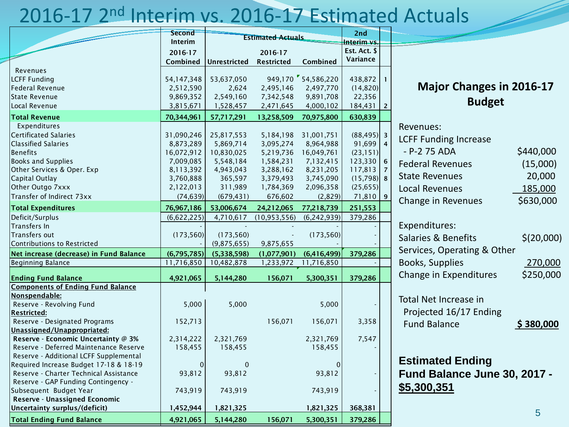### 2016-17 2nd Interim vs. 2016-17 Estimated Actuals

|                                          | <b>Second</b> | <b>Estimated Actuals</b> |                   | 2nd                |              |                         |  |
|------------------------------------------|---------------|--------------------------|-------------------|--------------------|--------------|-------------------------|--|
|                                          | Interim       |                          |                   | Interim vs.        |              |                         |  |
|                                          | 2016-17       |                          | 2016-17           |                    | Est. Act. \$ |                         |  |
|                                          | Combined      | <b>Unrestricted</b>      | <b>Restricted</b> | Combined           | Variance     |                         |  |
| Revenues                                 |               |                          |                   |                    |              |                         |  |
| <b>LCFF Funding</b>                      | 54,147,348    | 53,637,050               |                   | 949,170 54,586,220 | 438,872      | $\mathbf{1}$            |  |
| <b>Federal Revenue</b>                   | 2,512,590     | 2,624                    | 2,495,146         | 2,497,770          | (14, 820)    |                         |  |
| <b>State Revenue</b>                     | 9,869,352     | 2,549,160                | 7,342,548         | 9,891,708          | 22,356       |                         |  |
| Local Revenue                            | 3,815,671     | 1,528,457                | 2,471,645         | 4,000,102          | 184,431      | $2^{\circ}$             |  |
| <b>Total Revenue</b>                     | 70,344,961    | 57,717,291               | 13,258,509        | 70,975,800         | 630,839      |                         |  |
| Expenditures                             |               |                          |                   |                    |              |                         |  |
| <b>Certificated Salaries</b>             | 31,090,246    | 25,817,553               | 5,184,198         | 31,001,751         | (88, 495)    | $\overline{\mathbf{3}}$ |  |
| <b>Classified Salaries</b>               | 8,873,289     | 5,869,714                | 3,095,274         | 8,964,988          | 91,699       | $\overline{4}$          |  |
| <b>Benefits</b>                          | 16,072,912    | 10,830,025               | 5,219,736         | 16,049,761         | (23, 151)    |                         |  |
| <b>Books and Supplies</b>                | 7,009,085     | 5,548,184                | 1,584,231         | 7,132,415          | 123,330      | 6                       |  |
| Other Services & Oper. Exp               | 8,113,392     | 4,943,043                | 3,288,162         | 8,231,205          | 117,813      | $\overline{7}$          |  |
| Capital Outlay                           | 3,760,888     | 365,597                  | 3,379,493         | 3,745,090          | (15,798)     | 8                       |  |
| Other Outgo 7xxx                         | 2,122,013     | 311,989                  | 1,784,369         | 2,096,358          | (25, 655)    |                         |  |
| Transfer of Indirect 73xx                | (74, 639)     | (679, 431)               | 676,602           | (2,829)            | 71,810       | $\overline{9}$          |  |
| <b>Total Expenditures</b>                | 76,967,186    | 53,006,674               | 24,212,065        | 77,218,739         | 251,553      |                         |  |
| Deficit/Surplus                          | (6,622,225)   | 4,710,617                | (10, 953, 556)    | (6, 242, 939)      | 379,286      |                         |  |
| Transfers In                             |               |                          |                   |                    |              |                         |  |
| Transfers out                            | (173, 560)    | (173, 560)               |                   | (173, 560)         |              |                         |  |
| <b>Contributions to Restricted</b>       |               | (9,875,655)              | 9,875,655         |                    |              |                         |  |
| Net increase (decrease) in Fund Balance  | (6,795,785)   | (5,338,598)              | (1,077,901)       | (6,416,499)        | 379,286      |                         |  |
| <b>Beginning Balance</b>                 | 11,716,850    | 10,482,878               | 1,233,972         | 11,716,850         |              |                         |  |
|                                          |               |                          |                   |                    |              |                         |  |
| <b>Ending Fund Balance</b>               | 4,921,065     | 5,144,280                | 156,071           | 5,300,351          | 379,286      |                         |  |
| <b>Components of Ending Fund Balance</b> |               |                          |                   |                    |              |                         |  |
| Nonspendable:                            |               |                          |                   |                    |              |                         |  |
| Reserve - Revolving Fund                 | 5,000         | 5,000                    |                   | 5,000              |              |                         |  |
| <b>Restricted:</b>                       |               |                          |                   |                    |              |                         |  |
| Reserve - Designated Programs            | 152,713       |                          | 156,071           | 156,071            | 3,358        |                         |  |
| Unassigned/Unappropriated:               |               |                          |                   |                    |              |                         |  |
| Reserve - Economic Uncertainty @ 3%      | 2,314,222     | 2,321,769                |                   | 2,321,769          | 7,547        |                         |  |
| Reserve - Deferred Maintenance Reserve   | 158,455       | 158,455                  |                   | 158,455            |              |                         |  |
| Reserve - Additional LCFF Supplemental   |               |                          |                   |                    |              |                         |  |
| Required Increase Budget 17-18 & 18-19   | $\mathbf 0$   | $\mathbf 0$              |                   | 0                  |              |                         |  |
| Reserve - Charter Technical Assistance   | 93,812        | 93,812                   |                   | 93,812             |              |                         |  |
| Reserve - GAP Funding Contingency -      |               |                          |                   |                    |              |                         |  |
| Subsequent Budget Year                   | 743,919       | 743,919                  |                   | 743,919            |              |                         |  |
| Reserve - Unassigned Economic            |               |                          |                   |                    |              |                         |  |
| Uncertainty surplus/(deficit)            | 1,452,944     | 1,821,325                |                   | 1,821,325          | 368,381      |                         |  |
| <b>Total Ending Fund Balance</b>         | 4,921,065     | 5,144,280                | 156,071           | 5,300,351          | 379,286      |                         |  |

#### **Major Changes in 2016-17 Budget**

| Revenues:                      |            |
|--------------------------------|------------|
| <b>LCFF Funding Increase</b>   |            |
| - P-2 75 ADA                   | \$440,000  |
| <b>Federal Revenues</b>        | (15,000)   |
| <b>State Revenues</b>          | 20,000     |
| <b>Local Revenues</b>          | 185,000    |
| Change in Revenues             | \$630,000  |
| Expenditures:                  |            |
|                                |            |
| <b>Salaries &amp; Benefits</b> | \$(20,000) |

| Services, Operating & Other |           |
|-----------------------------|-----------|
| Books, Supplies             | 270,000   |
| Change in Expenditures      | \$250,000 |

Total Net Increase in Projected 16/17 Ending Fund Balance **\$ 380,000** 

#### **Estimated Ending Fund Balance June 30, 2017 - \$5,300,351**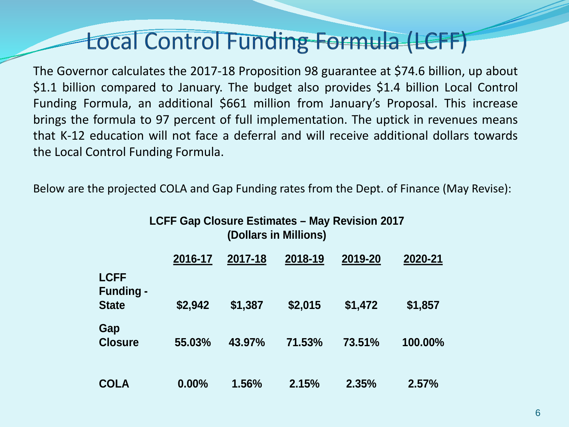## Local Control Funding Formula (LCFF)

The Governor calculates the 2017-18 Proposition 98 guarantee at \$74.6 billion, up about \$1.1 billion compared to January. The budget also provides \$1.4 billion Local Control Funding Formula, an additional \$661 million from January's Proposal. This increase brings the formula to 97 percent of full implementation. The uptick in revenues means that K-12 education will not face a deferral and will receive additional dollars towards the Local Control Funding Formula.

Below are the projected COLA and Gap Funding rates from the Dept. of Finance (May Revise):

**LCFF Gap Closure Estimates – May Revision 2017**

| <b>LOTT OUR ORGANIC LOURNAGES</b> THAY INCREDICT ZUTT<br>(Dollars in Millions) |          |         |         |         |         |  |
|--------------------------------------------------------------------------------|----------|---------|---------|---------|---------|--|
|                                                                                | 2016-17  | 2017-18 | 2018-19 | 2019-20 | 2020-21 |  |
| <b>LCFF</b><br><b>Funding -</b>                                                |          |         |         |         |         |  |
| <b>State</b>                                                                   | \$2,942  | \$1,387 | \$2,015 | \$1,472 | \$1,857 |  |
| Gap<br><b>Closure</b>                                                          | 55.03%   | 43.97%  | 71.53%  | 73.51%  | 100.00% |  |
| <b>COLA</b>                                                                    | $0.00\%$ | 1.56%   | 2.15%   | 2.35%   | 2.57%   |  |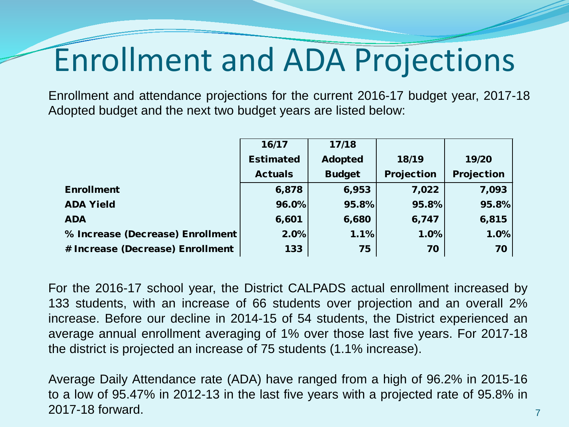# Enrollment and ADA Projections

Enrollment and attendance projections for the current 2016-17 budget year, 2017-18 Adopted budget and the next two budget years are listed below:

|                                  | 16/17            | 17/18          |            |            |
|----------------------------------|------------------|----------------|------------|------------|
|                                  | <b>Estimated</b> | <b>Adopted</b> | 18/19      | 19/20      |
|                                  | <b>Actuals</b>   | <b>Budget</b>  | Projection | Projection |
| <b>Enrollment</b>                | 6,878            | 6,953          | 7,022      | 7,093      |
| <b>ADA Yield</b>                 | 96.0%            | 95.8%          | 95.8%      | 95.8%      |
| <b>ADA</b>                       | 6,601            | 6,680          | 6,747      | 6,815      |
| % Increase (Decrease) Enrollment | 2.0%             | 1.1%           | 1.0%       | 1.0%       |
| # Increase (Decrease) Enrollment | 133              | 75             | 70         | 70         |

For the 2016-17 school year, the District CALPADS actual enrollment increased by 133 students, with an increase of 66 students over projection and an overall 2% increase. Before our decline in 2014-15 of 54 students, the District experienced an average annual enrollment averaging of 1% over those last five years. For 2017-18 the district is projected an increase of 75 students (1.1% increase).

Average Daily Attendance rate (ADA) have ranged from a high of 96.2% in 2015-16 to a low of 95.47% in 2012-13 in the last five years with a projected rate of 95.8% in 2017-18 forward.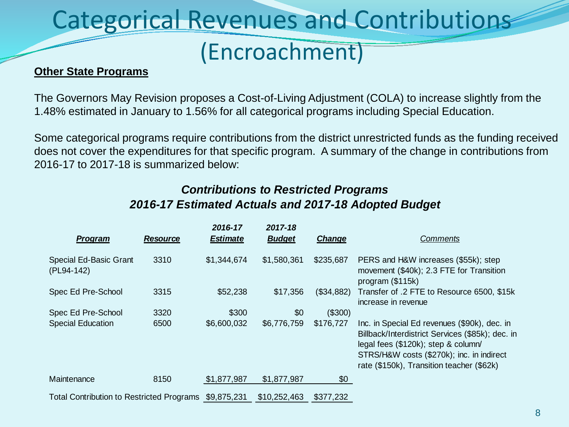## Categorical Revenues and Contributions

### (Encroachment)

#### **Other State Programs**

The Governors May Revision proposes a Cost-of-Living Adjustment (COLA) to increase slightly from the 1.48% estimated in January to 1.56% for all categorical programs including Special Education.

Some categorical programs require contributions from the district unrestricted funds as the funding received does not cover the expenditures for that specific program. A summary of the change in contributions from 2016-17 to 2017-18 is summarized below:

#### *Contributions to Restricted Programs 2016-17 Estimated Actuals and 2017-18 Adopted Budget*

| Program                                          | <b>Resource</b> | 2016-17<br><b>Estimate</b> | 2017-18<br><b>Budget</b> | <b>Change</b> | <b>Comments</b>                                                                                                                                                                                                                   |
|--------------------------------------------------|-----------------|----------------------------|--------------------------|---------------|-----------------------------------------------------------------------------------------------------------------------------------------------------------------------------------------------------------------------------------|
| Special Ed-Basic Grant<br>(PL94-142)             | 3310            | \$1,344,674                | \$1,580,361              | \$235,687     | PERS and H&W increases (\$55k); step<br>movement (\$40k); 2.3 FTE for Transition<br>program $($115k)$                                                                                                                             |
| Spec Ed Pre-School                               | 3315            | \$52,238                   | \$17,356                 | (\$34,882)    | Transfer of .2 FTE to Resource 6500, \$15k<br>increase in revenue                                                                                                                                                                 |
| Spec Ed Pre-School                               | 3320            | \$300                      | \$0                      | (\$300)       |                                                                                                                                                                                                                                   |
| <b>Special Education</b>                         | 6500            | \$6,600,032                | \$6,776,759              | \$176,727     | Inc. in Special Ed revenues (\$90k), dec. in<br>Billback/Interdistrict Services (\$85k); dec. in<br>legal fees (\$120k); step & column/<br>STRS/H&W costs (\$270k); inc. in indirect<br>rate (\$150k), Transition teacher (\$62k) |
| Maintenance                                      | 8150            | \$1,877,987                | \$1,877,987              | \$0           |                                                                                                                                                                                                                                   |
| <b>Total Contribution to Restricted Programs</b> |                 | \$9,875,231                | \$10,252,463             | \$377,232     |                                                                                                                                                                                                                                   |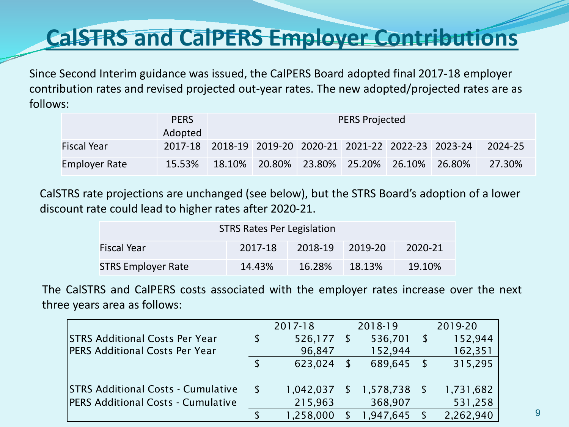### **CalSTRS and CalPERS Employer Contributions**

Since Second Interim guidance was issued, the CalPERS Board adopted final 2017-18 employer contribution rates and revised projected out-year rates. The new adopted/projected rates are as follows:

|                      | <b>PERS</b>                                             |                                              | <b>PERS Projected</b> |  |  |  |  |         |  |
|----------------------|---------------------------------------------------------|----------------------------------------------|-----------------------|--|--|--|--|---------|--|
|                      | Adopted                                                 |                                              |                       |  |  |  |  |         |  |
| <b>Fiscal Year</b>   | 2017-18 2018-19 2019-20 2020-21 2021-22 2022-23 2023-24 |                                              |                       |  |  |  |  | 2024-25 |  |
| <b>Employer Rate</b> | 15.53%                                                  | $18.10\%$ 20.80% 23.80% 25.20% 26.10% 26.80% |                       |  |  |  |  | 27.30%  |  |

CalSTRS rate projections are unchanged (see below), but the STRS Board's adoption of a lower discount rate could lead to higher rates after 2020-21.

| <b>STRS Rates Per Legislation</b> |         |         |         |         |  |  |
|-----------------------------------|---------|---------|---------|---------|--|--|
| <b>Fiscal Year</b>                | 2017-18 | 2018-19 | 2019-20 | 2020-21 |  |  |
| <b>STRS Employer Rate</b>         | 14.43%  | 16.28%  | 18.13%  | 19.10%  |  |  |

The CalSTRS and CalPERS costs associated with the employer rates increase over the next three years area as follows:

|                                           | 2017-18   |               | 2018-19   |      | 2019-20   |
|-------------------------------------------|-----------|---------------|-----------|------|-----------|
| <b>STRS Additional Costs Per Year</b>     | 526,177   |               | 536,701   | - S  | 152,944   |
| <b>PERS Additional Costs Per Year</b>     | 96,847    |               | 152,944   |      | 162,351   |
|                                           | 623,024   |               | 689,645   | - \$ | 315,295   |
| <b>STRS Additional Costs - Cumulative</b> | 1,042,037 | <sup>\$</sup> | 1,578,738 |      | 1,731,682 |
| <b>PERS Additional Costs - Cumulative</b> | 215,963   |               | 368,907   |      | 531,258   |
|                                           | 1,258,000 |               | 1,947,645 |      | 2,262,940 |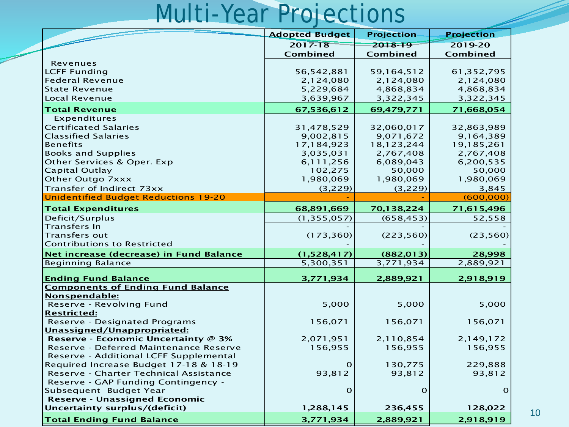## Multi-Year Projections

|                                             | <b>Adopted Budget</b>  | <b>Projection</b> | <b>Projection</b> |
|---------------------------------------------|------------------------|-------------------|-------------------|
|                                             | $2017 - 18$            | 2018-19           | 2019-20           |
|                                             | Combined               | Combined          | Combined          |
| Revenues                                    |                        |                   |                   |
| <b>LCFF Funding</b>                         | 56, 542, 881           | 59,164,512        | 61,352,795        |
| <b>Federal Revenue</b>                      | 2,124,080              | 2,124,080         | 2,124,080         |
| <b>State Revenue</b>                        | 5,229,684              | 4,868,834         | 4,868,834         |
| Local Revenue                               | 3,639,967              | 3,322,345         | 3,322,345         |
| <b>Total Revenue</b>                        | 67,536,612             | 69,479,771        | 71,668,054        |
| Expenditures                                |                        |                   |                   |
| <b>Certificated Salaries</b>                | 31,478,529             | 32,060,017        | 32,863,989        |
| <b>Classified Salaries</b>                  | 9,002,815              | 9,071,672         | 9,164,389         |
| <b>Benefits</b>                             | 17,184,923             | 18,123,244        | 19,185,261        |
| <b>Books and Supplies</b>                   | 3,035,031              | 2,767,408         | 2,767,408         |
| Other Services & Oper. Exp                  | 6,111,256              | 6,089,043         | 6,200,535         |
| <b>Capital Outlay</b>                       | 102,275                | 50,000            | 50,000            |
| Other Outgo 7xxx                            | 1,980,069              | 1,980,069         | 1,980,069         |
| Transfer of Indirect 73xx                   | (3,229)                | (3,229)           | 3,845             |
| <b>Unidentified Budget Reductions 19-20</b> |                        |                   | (600, 000)        |
| <b>Total Expenditures</b>                   | 68,891,669             | 70,138,224        | 71,615,496        |
| Deficit/Surplus                             | (1, 355, 057)          | (658, 453)        | 52,558            |
| <b>Transfers In</b>                         |                        |                   |                   |
| <b>Transfers out</b>                        | (173, 360)             | (223, 560)        | (23, 560)         |
| <b>Contributions to Restricted</b>          |                        |                   |                   |
| Net increase (decrease) in Fund Balance     | (1,528,417)            | (882, 013)        | 28,998            |
| <b>Beginning Balance</b>                    | $\overline{5,300,351}$ | 3,771,934         | 2,889,921         |
| <b>Ending Fund Balance</b>                  |                        | 2,889,921         | 2,918,919         |
| <b>Components of Ending Fund Balance</b>    | 3,771,934              |                   |                   |
| Nonspendable:                               |                        |                   |                   |
| Reserve - Revolving Fund                    | 5,000                  | 5,000             | 5,000             |
| <b>Restricted:</b>                          |                        |                   |                   |
| <b>Reserve - Designated Programs</b>        | 156,071                | 156,071           | 156,071           |
| Unassigned/Unappropriated:                  |                        |                   |                   |
| Reserve - Economic Uncertainty @ 3%         | 2,071,951              | 2,110,854         | 2,149,172         |
| Reserve - Deferred Maintenance Reserve      | 156,955                | 156,955           | 156,955           |
| Reserve - Additional LCFF Supplemental      |                        |                   |                   |
| Required Increase Budget 17-18 & 18-19      | O                      | 130,775           | 229,888           |
| Reserve - Charter Technical Assistance      | 93,812                 | 93,812            | 93,812            |
| Reserve - GAP Funding Contingency -         |                        |                   |                   |
| Subsequent Budget Year                      | $\Omega$               | $\Omega$          | $\Omega$          |
| Reserve - Unassigned Economic               |                        |                   |                   |
| Uncertainty surplus/(deficit)               | 1,288,145              | 236,455           | 128,022           |
| <b>Total Ending Fund Balance</b>            | 3,771,934              | 2,889,921         | 2,918,919         |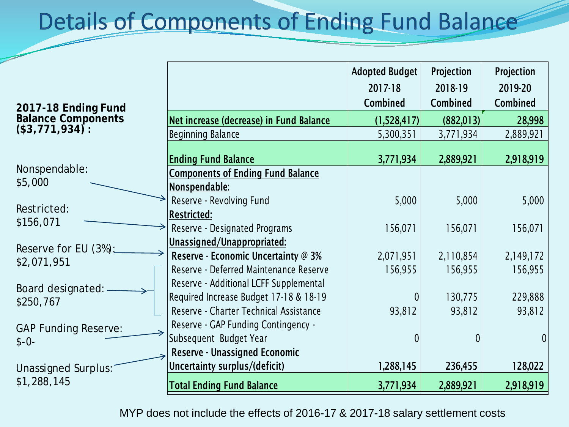## **Details of Components of Ending Fund Balance**

| 2017-18 Ending Fund         |                                                                               | Adopted Budget<br>2017-18<br><b>Combined</b> | Projection<br>2018-19<br>Combined | Projection<br>2019-20<br><b>Combined</b> |
|-----------------------------|-------------------------------------------------------------------------------|----------------------------------------------|-----------------------------------|------------------------------------------|
| <b>Balance Components</b>   | Net increase (decrease) in Fund Balance                                       | (1,528,417)                                  | (882, 013)                        | 28,998                                   |
| (\$3,771,934):              | <b>Beginning Balance</b>                                                      | 5,300,351                                    | 3,771,934                         | 2,889,921                                |
|                             | <b>Ending Fund Balance</b>                                                    | 3,771,934                                    | 2,889,921                         | 2,918,919                                |
| Nonspendable:<br>\$5,000    | <b>Components of Ending Fund Balance</b><br>Nonspendable:                     |                                              |                                   |                                          |
| Restricted:                 | Reserve - Revolving Fund                                                      | 5,000                                        | 5,000                             | 5,000                                    |
| \$156,071                   | <b>Restricted:</b><br>Reserve - Designated Programs                           | 156,071                                      | 156,071                           | 156,071                                  |
| Reserve for EU (3%):        | Unassigned/Unappropriated:                                                    |                                              |                                   |                                          |
| \$2,071,951                 | Reserve - Economic Uncertainty @ 3%<br>Reserve - Deferred Maintenance Reserve | 2,071,951<br>156,955                         | 2,110,854<br>156,955              | 2,149,172<br>156,955                     |
| Board designated: -         | Reserve - Additional LCFF Supplemental                                        |                                              |                                   |                                          |
| \$250,767                   | Required Increase Budget 17-18 & 18-19                                        | $\overline{0}$                               | 130,775                           | 229,888                                  |
|                             | Reserve - Charter Technical Assistance                                        | 93,812                                       | 93,812                            | 93,812                                   |
| <b>GAP Funding Reserve:</b> | Reserve - GAP Funding Contingency -                                           |                                              |                                   |                                          |
| $$ -0-$                     | Subsequent Budget Year                                                        | $\theta$                                     | $\theta$                          |                                          |
|                             | <b>Reserve - Unassigned Economic</b>                                          |                                              |                                   |                                          |
| Unassigned Surplus:         | Uncertainty surplus/(deficit)                                                 | 1,288,145                                    | 236,455                           | 128,022                                  |
| \$1,288,145                 | <b>Total Ending Fund Balance</b>                                              | 3,771,934                                    | 2,889,921                         | 2,918,919                                |

MYP does not include the effects of 2016-17 & 2017-18 salary settlement costs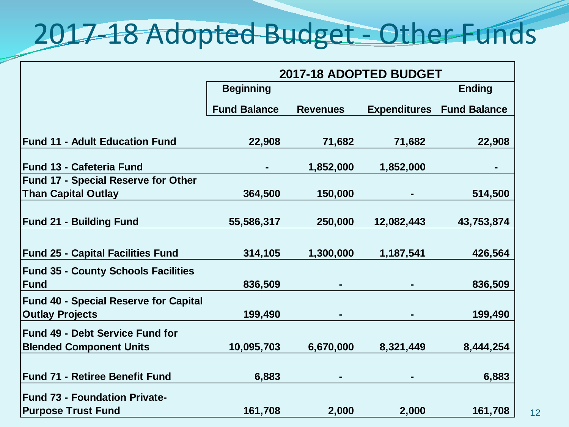## 2017-18 Adopted Budget - Other Funds

|                                              | 2017-18 ADOPTED BUDGET |                 |            |                                  |
|----------------------------------------------|------------------------|-----------------|------------|----------------------------------|
|                                              | <b>Beginning</b>       |                 |            | <b>Ending</b>                    |
|                                              | <b>Fund Balance</b>    | <b>Revenues</b> |            | <b>Expenditures Fund Balance</b> |
|                                              |                        |                 |            |                                  |
| <b>Fund 11 - Adult Education Fund</b>        | 22,908                 | 71,682          | 71,682     | 22,908                           |
| <b>Fund 13 - Cafeteria Fund</b>              |                        | 1,852,000       | 1,852,000  |                                  |
| <b>Fund 17 - Special Reserve for Other</b>   |                        |                 |            |                                  |
| <b>Than Capital Outlay</b>                   | 364,500                | 150,000         |            | 514,500                          |
|                                              |                        |                 |            |                                  |
| <b>Fund 21 - Building Fund</b>               | 55,586,317             | 250,000         | 12,082,443 | 43,753,874                       |
|                                              |                        |                 |            |                                  |
| <b>Fund 25 - Capital Facilities Fund</b>     | 314,105                | 1,300,000       | 1,187,541  | 426,564                          |
| <b>Fund 35 - County Schools Facilities</b>   |                        |                 |            |                                  |
| <b>Fund</b>                                  | 836,509                |                 |            | 836,509                          |
| <b>Fund 40 - Special Reserve for Capital</b> |                        |                 |            |                                  |
| <b>Outlay Projects</b>                       | 199,490                |                 |            | 199,490                          |
| <b>Fund 49 - Debt Service Fund for</b>       |                        |                 |            |                                  |
| <b>Blended Component Units</b>               | 10,095,703             | 6,670,000       | 8,321,449  | 8,444,254                        |
|                                              |                        |                 |            |                                  |
| <b>Fund 71 - Retiree Benefit Fund</b>        | 6,883                  |                 |            | 6,883                            |
| <b>Fund 73 - Foundation Private-</b>         |                        |                 |            |                                  |
| <b>Purpose Trust Fund</b>                    | 161,708                | 2,000           | 2,000      | 161,708                          |

12